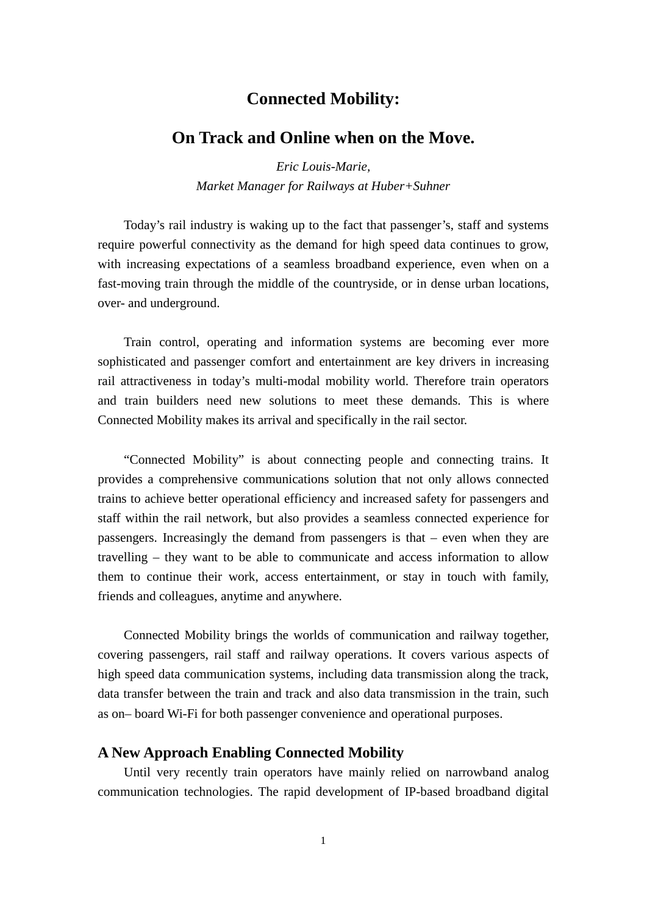# **Connected Mobility:**

## **On Track and Online when on the Move.**

*Eric Louis-Marie, Market Manager for Railways at Huber+Suhner*

Today's rail industry is waking up to the fact that passenger's, staff and systems require powerful connectivity as the demand for high speed data continues to grow, with increasing expectations of a seamless broadband experience, even when on a fast-moving train through the middle of the countryside, or in dense urban locations, over- and underground.

Train control, operating and information systems are becoming ever more sophisticated and passenger comfort and entertainment are key drivers in increasing rail attractiveness in today's multi-modal mobility world. Therefore train operators and train builders need new solutions to meet these demands. This is where Connected Mobility makes its arrival and specifically in the rail sector.

"Connected Mobility" is about connecting people and connecting trains. It provides a comprehensive communications solution that not only allows connected trains to achieve better operational efficiency and increased safety for passengers and staff within the rail network, but also provides a seamless connected experience for passengers. Increasingly the demand from passengers is that – even when they are travelling – they want to be able to communicate and access information to allow them to continue their work, access entertainment, or stay in touch with family, friends and colleagues, anytime and anywhere.

Connected Mobility brings the worlds of communication and railway together, covering passengers, rail staff and railway operations. It covers various aspects of high speed data communication systems, including data transmission along the track, data transfer between the train and track and also data transmission in the train, such as on– board Wi-Fi for both passenger convenience and operational purposes.

#### **A New Approach Enabling Connected Mobility**

Until very recently train operators have mainly relied on narrowband analog communication technologies. The rapid development of IP-based broadband digital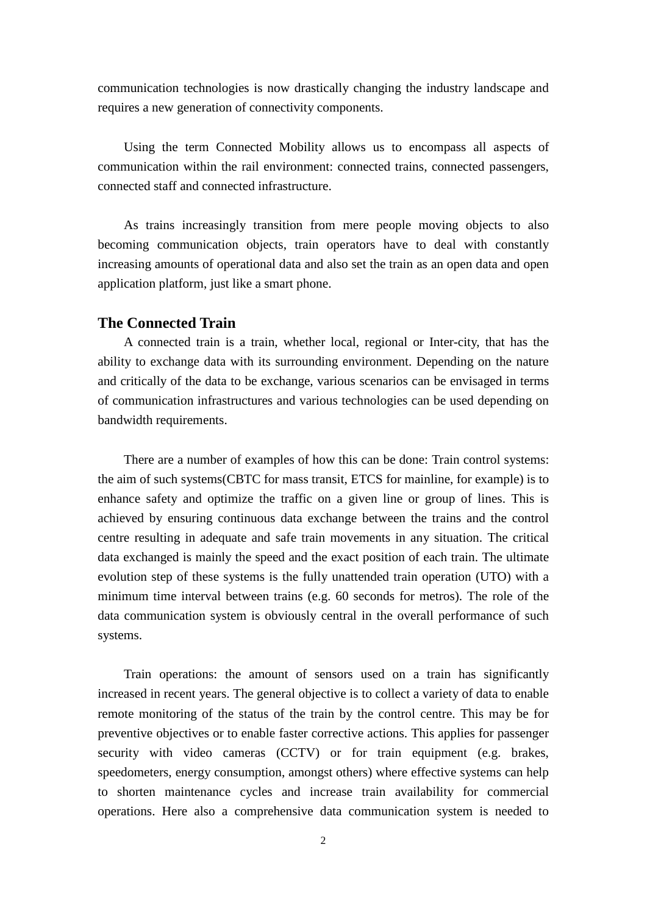communication technologies is now drastically changing the industry landscape and requires a new generation of connectivity components.

Using the term Connected Mobility allows us to encompass all aspects of communication within the rail environment: connected trains, connected passengers, connected staff and connected infrastructure.

As trains increasingly transition from mere people moving objects to also becoming communication objects, train operators have to deal with constantly increasing amounts of operational data and also set the train as an open data and open application platform, just like a smart phone.

### **The Connected Train**

A connected train is a train, whether local, regional or Inter-city, that has the ability to exchange data with its surrounding environment. Depending on the nature and critically of the data to be exchange, various scenarios can be envisaged in terms of communication infrastructures and various technologies can be used depending on bandwidth requirements.

There are a number of examples of how this can be done: Train control systems: the aim of such systems(CBTC for mass transit, ETCS for mainline, for example) is to enhance safety and optimize the traffic on a given line or group of lines. This is achieved by ensuring continuous data exchange between the trains and the control centre resulting in adequate and safe train movements in any situation. The critical data exchanged is mainly the speed and the exact position of each train. The ultimate evolution step of these systems is the fully unattended train operation (UTO) with a minimum time interval between trains (e.g. 60 seconds for metros). The role of the data communication system is obviously central in the overall performance of such systems.

Train operations: the amount of sensors used on a train has significantly increased in recent years. The general objective is to collect a variety of data to enable remote monitoring of the status of the train by the control centre. This may be for preventive objectives or to enable faster corrective actions. This applies for passenger security with video cameras (CCTV) or for train equipment (e.g. brakes, speedometers, energy consumption, amongst others) where effective systems can help to shorten maintenance cycles and increase train availability for commercial operations. Here also a comprehensive data communication system is needed to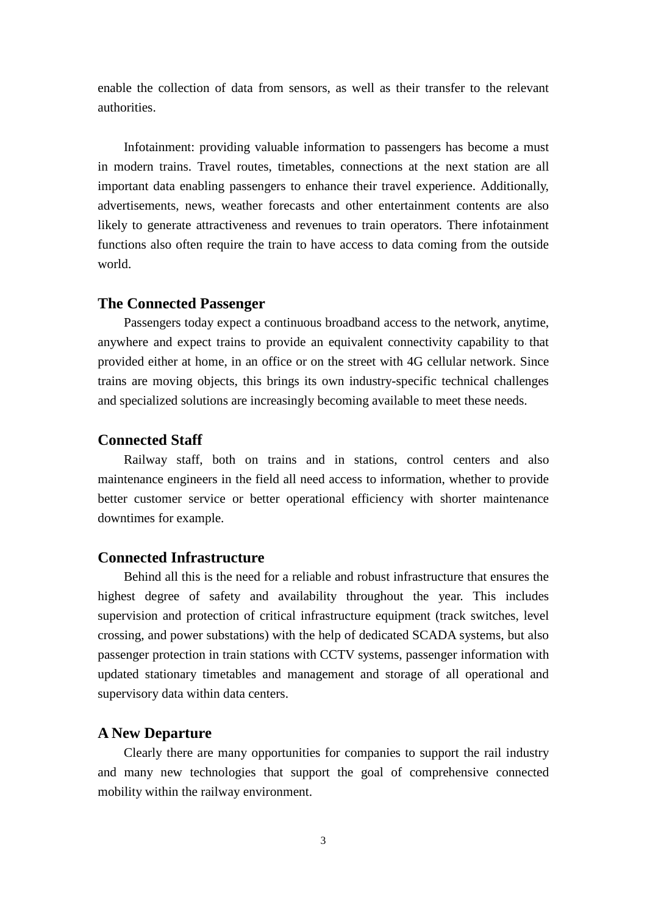enable the collection of data from sensors, as well as their transfer to the relevant authorities.

Infotainment: providing valuable information to passengers has become a must in modern trains. Travel routes, timetables, connections at the next station are all important data enabling passengers to enhance their travel experience. Additionally, advertisements, news, weather forecasts and other entertainment contents are also likely to generate attractiveness and revenues to train operators. There infotainment functions also often require the train to have access to data coming from the outside world.

#### **The Connected Passenger**

Passengers today expect a continuous broadband access to the network, anytime, anywhere and expect trains to provide an equivalent connectivity capability to that provided either at home, in an office or on the street with 4G cellular network. Since trains are moving objects, this brings its own industry-specific technical challenges and specialized solutions are increasingly becoming available to meet these needs.

## **Connected Staff**

Railway staff, both on trains and in stations, control centers and also maintenance engineers in the field all need access to information, whether to provide better customer service or better operational efficiency with shorter maintenance downtimes for example.

## **Connected Infrastructure**

Behind all this is the need for a reliable and robust infrastructure that ensures the highest degree of safety and availability throughout the year. This includes supervision and protection of critical infrastructure equipment (track switches, level crossing, and power substations) with the help of dedicated SCADA systems, but also passenger protection in train stations with CCTV systems, passenger information with updated stationary timetables and management and storage of all operational and supervisory data within data centers.

## **A New Departure**

Clearly there are many opportunities for companies to support the rail industry and many new technologies that support the goal of comprehensive connected mobility within the railway environment.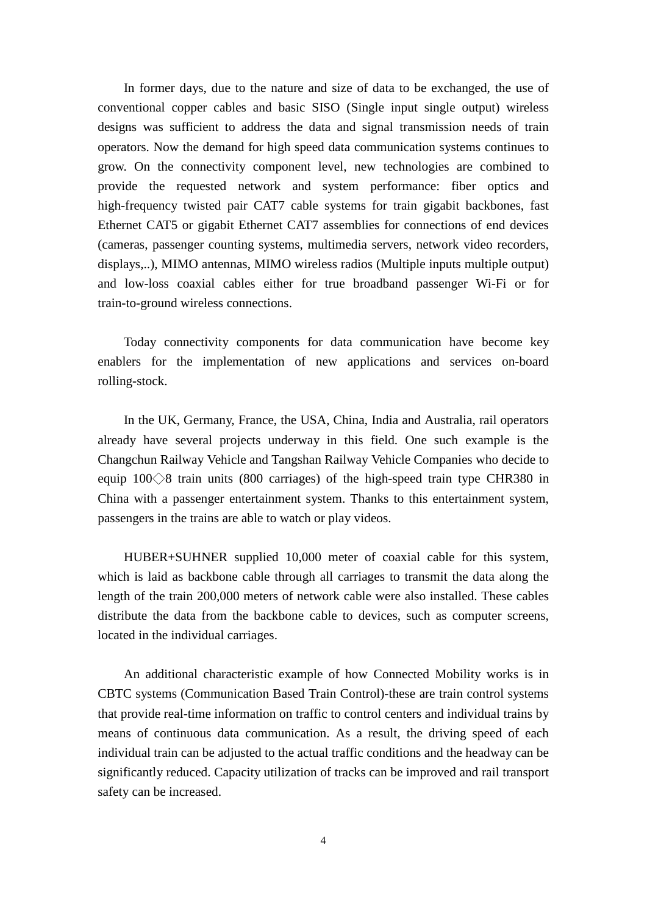In former days, due to the nature and size of data to be exchanged, the use of conventional copper cables and basic SISO (Single input single output) wireless designs was sufficient to address the data and signal transmission needs of train operators. Now the demand for high speed data communication systems continues to grow. On the connectivity component level, new technologies are combined to provide the requested network and system performance: fiber optics and high-frequency twisted pair CAT7 cable systems for train gigabit backbones, fast Ethernet CAT5 or gigabit Ethernet CAT7 assemblies for connections of end devices (cameras, passenger counting systems, multimedia servers, network video recorders, displays,..), MIMO antennas, MIMO wireless radios (Multiple inputs multiple output) and low-loss coaxial cables either for true broadband passenger Wi-Fi or for train-to-ground wireless connections.

Today connectivity components for data communication have become key enablers for the implementation of new applications and services on-board rolling-stock.

In the UK, Germany, France, the USA, China, India and Australia, rail operators already have several projects underway in this field. One such example is the Changchun Railway Vehicle and Tangshan Railway Vehicle Companies who decide to equip  $100 \diamond 8$  train units (800 carriages) of the high-speed train type CHR380 in China with a passenger entertainment system. Thanks to this entertainment system, passengers in the trains are able to watch or play videos.

HUBER+SUHNER supplied 10,000 meter of coaxial cable for this system, which is laid as backbone cable through all carriages to transmit the data along the length of the train 200,000 meters of network cable were also installed. These cables distribute the data from the backbone cable to devices, such as computer screens, located in the individual carriages.

An additional characteristic example of how Connected Mobility works is in CBTC systems (Communication Based Train Control)-these are train control systems that provide real-time information on traffic to control centers and individual trains by means of continuous data communication. As a result, the driving speed of each individual train can be adjusted to the actual traffic conditions and the headway can be significantly reduced. Capacity utilization of tracks can be improved and rail transport safety can be increased.